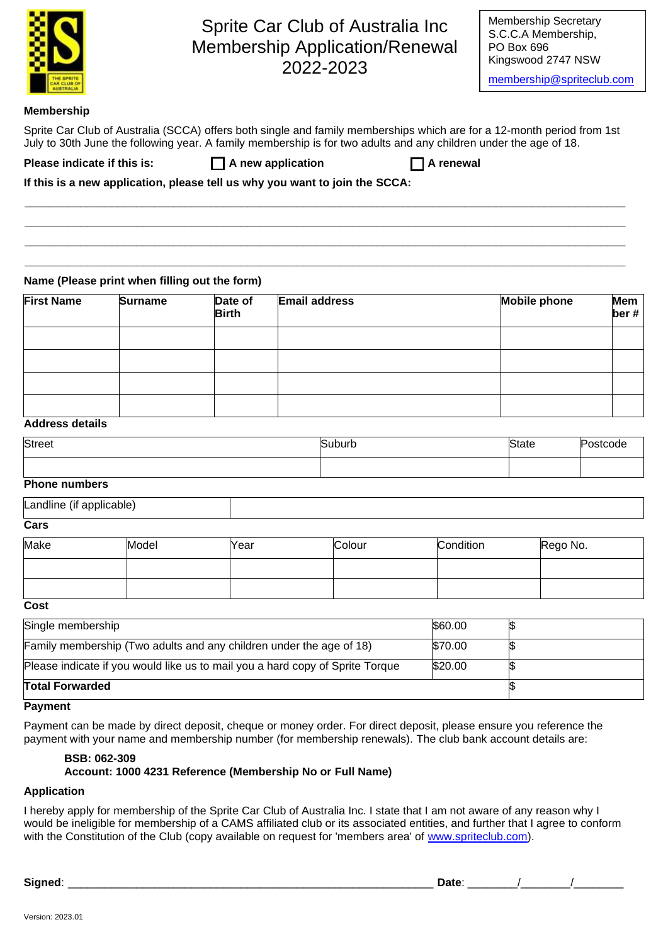|                             |                                               |                         | Sprite Car Club of Australia Inc<br><b>Membership Application/Renewal</b><br>2022-2023                                                                                                                                                      | <b>Membership Secretary</b><br>S.C.C.A Membership,<br>PO Box 696<br>Kingswood 2747 NSW<br>membership@spriteclub.com |                    |
|-----------------------------|-----------------------------------------------|-------------------------|---------------------------------------------------------------------------------------------------------------------------------------------------------------------------------------------------------------------------------------------|---------------------------------------------------------------------------------------------------------------------|--------------------|
| <b>Membership</b>           |                                               |                         |                                                                                                                                                                                                                                             |                                                                                                                     |                    |
|                             |                                               |                         | Sprite Car Club of Australia (SCCA) offers both single and family memberships which are for a 12-month period from 1st<br>July to 30th June the following year. A family membership is for two adults and any children under the age of 18. |                                                                                                                     |                    |
| Please indicate if this is: |                                               |                         | A new application<br>A renewal                                                                                                                                                                                                              |                                                                                                                     |                    |
|                             |                                               |                         | If this is a new application, please tell us why you want to join the SCCA:                                                                                                                                                                 |                                                                                                                     |                    |
|                             | Name (Please print when filling out the form) |                         |                                                                                                                                                                                                                                             |                                                                                                                     |                    |
| <b>First Name</b>           | <b>Surname</b>                                | Date of<br><b>Birth</b> | <b>Email address</b>                                                                                                                                                                                                                        | <b>Mobile phone</b>                                                                                                 | <b>Mem</b><br>ber# |
| <b>Address details</b>      |                                               |                         |                                                                                                                                                                                                                                             |                                                                                                                     |                    |

| <b>Street</b> | suburb<br>$\sim$ | State |  |
|---------------|------------------|-------|--|
|               |                  |       |  |

### **Phone numbers**

| апе |  |
|-----|--|
| _   |  |

#### **Cars**

| Make | Model | Year | Colour | Condition | Rego No. |
|------|-------|------|--------|-----------|----------|
|      |       |      |        |           |          |
|      |       |      |        |           |          |

| I<br>۰.<br>I<br>×<br>$\sim$<br>۰.<br>w |
|----------------------------------------|
|----------------------------------------|

| Single membership                                                             | \$60.00 |  |
|-------------------------------------------------------------------------------|---------|--|
| Family membership (Two adults and any children under the age of 18)           | \$70.00 |  |
| Please indicate if you would like us to mail you a hard copy of Sprite Torque | \$20.00 |  |
| <b>Total Forwarded</b>                                                        |         |  |

## **Payment**

Payment can be made by direct deposit, cheque or money order. For direct deposit, please ensure you reference the payment with your name and membership number (for membership renewals). The club bank account details are:

## **BSB: 062-309 Account: 1000 4231 Reference (Membership No or Full Name)**

## **Application**

I hereby apply for membership of the Sprite Car Club of Australia Inc. I state that I am not aware of any reason why I would be ineligible for membership of a CAMS affiliated club or its associated entities, and further that I agree to conform with the Constitution of the Club (copy available on request for 'members area' of [www.spriteclub.com\)](http://www.spriteclub.com/).